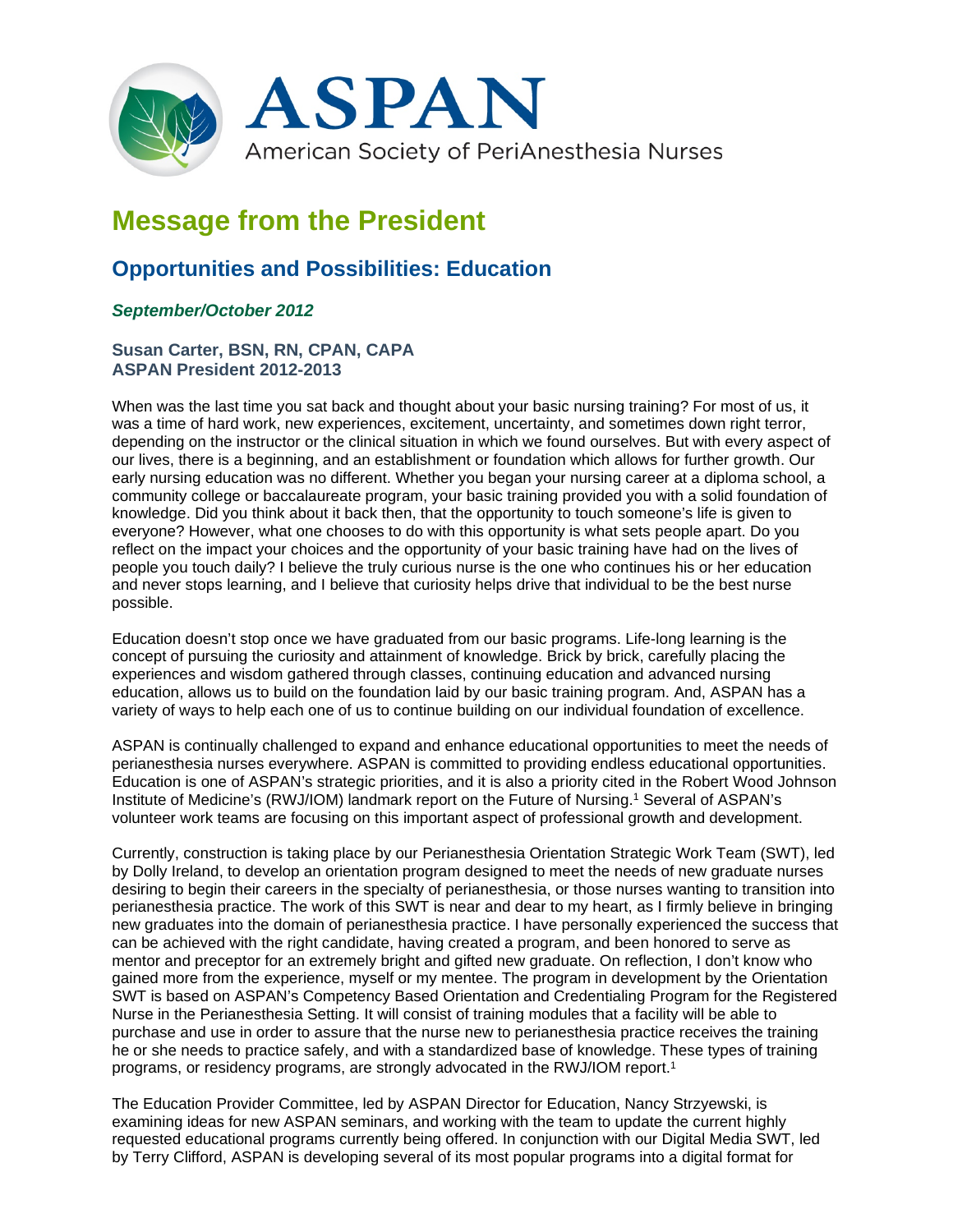

# **Message from the President**

# **Opportunities and Possibilities: Education**

## *September/October 2012*

### **Susan Carter, BSN, RN, CPAN, CAPA ASPAN President 2012-2013**

When was the last time you sat back and thought about your basic nursing training? For most of us, it was a time of hard work, new experiences, excitement, uncertainty, and sometimes down right terror, depending on the instructor or the clinical situation in which we found ourselves. But with every aspect of our lives, there is a beginning, and an establishment or foundation which allows for further growth. Our early nursing education was no different. Whether you began your nursing career at a diploma school, a community college or baccalaureate program, your basic training provided you with a solid foundation of knowledge. Did you think about it back then, that the opportunity to touch someone's life is given to everyone? However, what one chooses to do with this opportunity is what sets people apart. Do you reflect on the impact your choices and the opportunity of your basic training have had on the lives of people you touch daily? I believe the truly curious nurse is the one who continues his or her education and never stops learning, and I believe that curiosity helps drive that individual to be the best nurse possible.

Education doesn't stop once we have graduated from our basic programs. Life-long learning is the concept of pursuing the curiosity and attainment of knowledge. Brick by brick, carefully placing the experiences and wisdom gathered through classes, continuing education and advanced nursing education, allows us to build on the foundation laid by our basic training program. And, ASPAN has a variety of ways to help each one of us to continue building on our individual foundation of excellence.

ASPAN is continually challenged to expand and enhance educational opportunities to meet the needs of perianesthesia nurses everywhere. ASPAN is committed to providing endless educational opportunities. Education is one of ASPAN's strategic priorities, and it is also a priority cited in the Robert Wood Johnson Institute of Medicine's (RWJ/IOM) landmark report on the Future of Nursing.1 Several of ASPAN's volunteer work teams are focusing on this important aspect of professional growth and development.

Currently, construction is taking place by our Perianesthesia Orientation Strategic Work Team (SWT), led by Dolly Ireland, to develop an orientation program designed to meet the needs of new graduate nurses desiring to begin their careers in the specialty of perianesthesia, or those nurses wanting to transition into perianesthesia practice. The work of this SWT is near and dear to my heart, as I firmly believe in bringing new graduates into the domain of perianesthesia practice. I have personally experienced the success that can be achieved with the right candidate, having created a program, and been honored to serve as mentor and preceptor for an extremely bright and gifted new graduate. On reflection, I don't know who gained more from the experience, myself or my mentee. The program in development by the Orientation SWT is based on ASPAN's Competency Based Orientation and Credentialing Program for the Registered Nurse in the Perianesthesia Setting. It will consist of training modules that a facility will be able to purchase and use in order to assure that the nurse new to perianesthesia practice receives the training he or she needs to practice safely, and with a standardized base of knowledge. These types of training programs, or residency programs, are strongly advocated in the RWJ/IOM report.1

The Education Provider Committee, led by ASPAN Director for Education, Nancy Strzyewski, is examining ideas for new ASPAN seminars, and working with the team to update the current highly requested educational programs currently being offered. In conjunction with our Digital Media SWT, led by Terry Clifford, ASPAN is developing several of its most popular programs into a digital format for